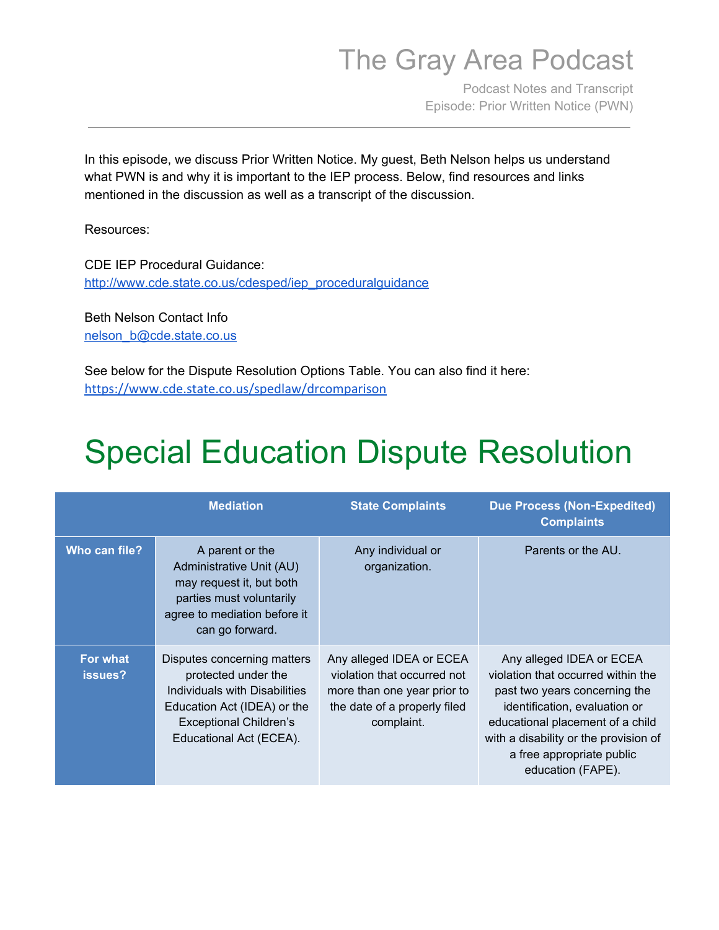Podcast Notes and Transcript Episode: Prior Written Notice (PWN)

 In this episode, we discuss Prior Written Notice. My guest, Beth Nelson helps us understand what PWN is and why it is important to the IEP process. Below, find resources and links mentioned in the discussion as well as a transcript of the discussion.

Resources:

 CDE IEP Procedural Guidance: [http://www.cde.state.co.us/cdesped/iep\\_proceduralguidance](http://www.cde.state.co.us/cdesped/iep_proceduralguidance)

 Beth Nelson Contact Info [nelson\\_b@cde.state.co.us](mailto:nelson_b@cde.state.co.us)

 See below for the Dispute Resolution Options Table. You can also find it here: <https://www.cde.state.co.us/spedlaw/drcomparison>

# Special Education Dispute Resolution

|                            | <b>Mediation</b>                                                                                                                                                               | <b>State Complaints</b>                                                                                                              | <b>Due Process (Non-Expedited)</b><br><b>Complaints</b>                                                                                                                                                                                                         |
|----------------------------|--------------------------------------------------------------------------------------------------------------------------------------------------------------------------------|--------------------------------------------------------------------------------------------------------------------------------------|-----------------------------------------------------------------------------------------------------------------------------------------------------------------------------------------------------------------------------------------------------------------|
| Who can file?              | A parent or the<br>Administrative Unit (AU)<br>may request it, but both<br>parties must voluntarily<br>agree to mediation before it<br>can go forward.                         | Any individual or<br>organization.                                                                                                   | Parents or the AU.                                                                                                                                                                                                                                              |
| <b>For what</b><br>issues? | Disputes concerning matters<br>protected under the<br>Individuals with Disabilities<br>Education Act (IDEA) or the<br><b>Exceptional Children's</b><br>Educational Act (ECEA). | Any alleged IDEA or ECEA<br>violation that occurred not<br>more than one year prior to<br>the date of a properly filed<br>complaint. | Any alleged IDEA or ECEA<br>violation that occurred within the<br>past two years concerning the<br>identification, evaluation or<br>educational placement of a child<br>with a disability or the provision of<br>a free appropriate public<br>education (FAPE). |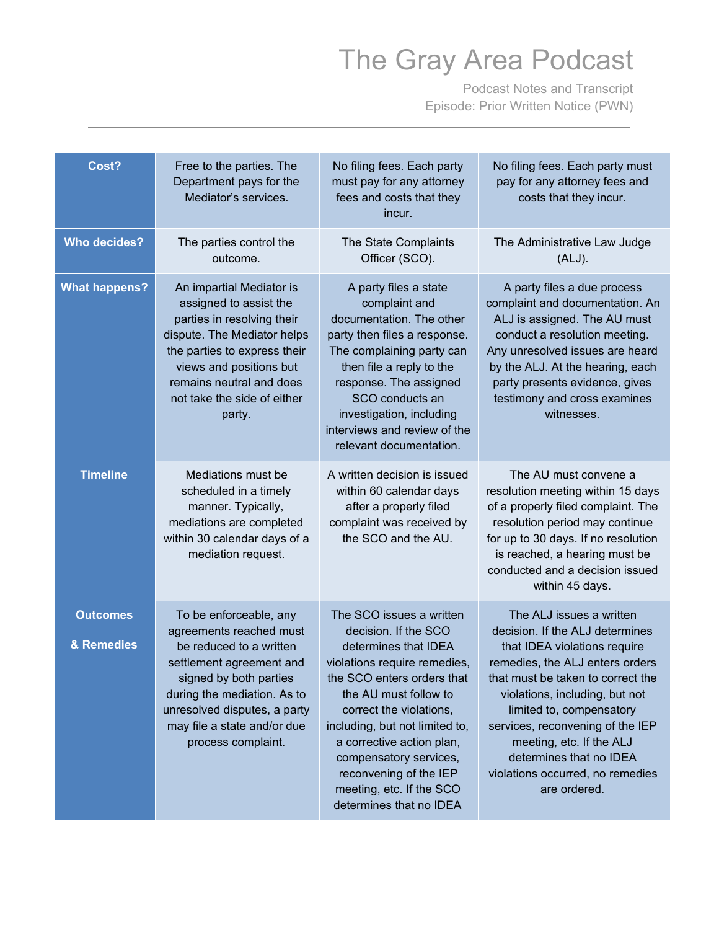Podcast Notes and Transcript Episode: Prior Written Notice (PWN)

| Cost?                         | Free to the parties. The<br>Department pays for the<br>Mediator's services.                                                                                                                                                                            | No filing fees. Each party<br>must pay for any attorney<br>fees and costs that they<br>incur.                                                                                                                                                                                                                                                                        | No filing fees. Each party must<br>pay for any attorney fees and<br>costs that they incur.                                                                                                                                                                                                                                                                                       |
|-------------------------------|--------------------------------------------------------------------------------------------------------------------------------------------------------------------------------------------------------------------------------------------------------|----------------------------------------------------------------------------------------------------------------------------------------------------------------------------------------------------------------------------------------------------------------------------------------------------------------------------------------------------------------------|----------------------------------------------------------------------------------------------------------------------------------------------------------------------------------------------------------------------------------------------------------------------------------------------------------------------------------------------------------------------------------|
| <b>Who decides?</b>           | The parties control the<br>outcome.                                                                                                                                                                                                                    | The State Complaints<br>Officer (SCO).                                                                                                                                                                                                                                                                                                                               | The Administrative Law Judge<br>(ALJ).                                                                                                                                                                                                                                                                                                                                           |
| <b>What happens?</b>          | An impartial Mediator is<br>assigned to assist the<br>parties in resolving their<br>dispute. The Mediator helps<br>the parties to express their<br>views and positions but<br>remains neutral and does<br>not take the side of either<br>party.        | A party files a state<br>complaint and<br>documentation. The other<br>party then files a response.<br>The complaining party can<br>then file a reply to the<br>response. The assigned<br>SCO conducts an<br>investigation, including<br>interviews and review of the<br>relevant documentation.                                                                      | A party files a due process<br>complaint and documentation. An<br>ALJ is assigned. The AU must<br>conduct a resolution meeting.<br>Any unresolved issues are heard<br>by the ALJ. At the hearing, each<br>party presents evidence, gives<br>testimony and cross examines<br>witnesses.                                                                                           |
| <b>Timeline</b>               | Mediations must be<br>scheduled in a timely<br>manner. Typically,<br>mediations are completed<br>within 30 calendar days of a<br>mediation request.                                                                                                    | A written decision is issued<br>within 60 calendar days<br>after a properly filed<br>complaint was received by<br>the SCO and the AU.                                                                                                                                                                                                                                | The AU must convene a<br>resolution meeting within 15 days<br>of a properly filed complaint. The<br>resolution period may continue<br>for up to 30 days. If no resolution<br>is reached, a hearing must be<br>conducted and a decision issued<br>within 45 days.                                                                                                                 |
| <b>Outcomes</b><br>& Remedies | To be enforceable, any<br>agreements reached must<br>be reduced to a written<br>settlement agreement and<br>signed by both parties<br>during the mediation. As to<br>unresolved disputes, a party<br>may file a state and/or due<br>process complaint. | The SCO issues a written<br>decision. If the SCO<br>determines that IDEA<br>violations require remedies,<br>the SCO enters orders that<br>the AU must follow to<br>correct the violations,<br>including, but not limited to,<br>a corrective action plan,<br>compensatory services,<br>reconvening of the IEP<br>meeting, etc. If the SCO<br>determines that no IDEA | The ALJ issues a written<br>decision. If the ALJ determines<br>that IDEA violations require<br>remedies, the ALJ enters orders<br>that must be taken to correct the<br>violations, including, but not<br>limited to, compensatory<br>services, reconvening of the IEP<br>meeting, etc. If the ALJ<br>determines that no IDEA<br>violations occurred, no remedies<br>are ordered. |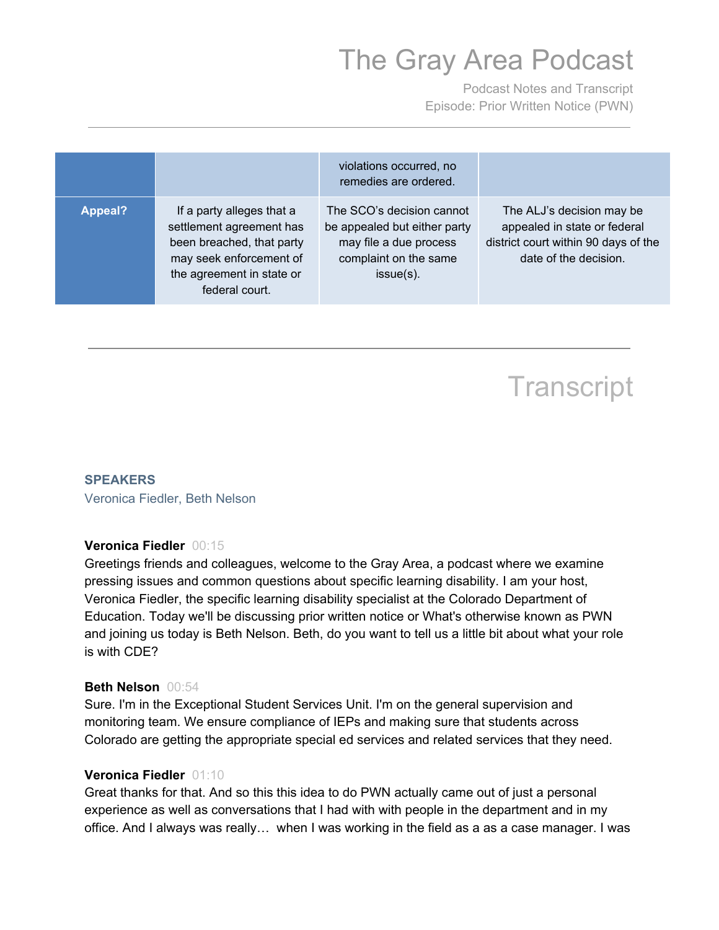Podcast Notes and Transcript Episode: Prior Written Notice (PWN)

|                |                                                                                                                                                              | violations occurred, no<br>remedies are ordered.                                                                             |                                                                                                                            |
|----------------|--------------------------------------------------------------------------------------------------------------------------------------------------------------|------------------------------------------------------------------------------------------------------------------------------|----------------------------------------------------------------------------------------------------------------------------|
| <b>Appeal?</b> | If a party alleges that a<br>settlement agreement has<br>been breached, that party<br>may seek enforcement of<br>the agreement in state or<br>federal court. | The SCO's decision cannot<br>be appealed but either party<br>may file a due process<br>complaint on the same<br>$issue(s)$ . | The ALJ's decision may be<br>appealed in state or federal<br>district court within 90 days of the<br>date of the decision. |

### **Transcript**

#### **SPEAKERS**

Veronica Fiedler, Beth Nelson

#### **Veronica Fiedler** 00:15

 Greetings friends and colleagues, welcome to the Gray Area, a podcast where we examine pressing issues and common questions about specific learning disability. I am your host, Veronica Fiedler, the specific learning disability specialist at the Colorado Department of Education. Today we'll be discussing prior written notice or What's otherwise known as PWN and joining us today is Beth Nelson. Beth, do you want to tell us a little bit about what your role is with CDE?

#### **Beth Nelson** 00:54

 Sure. I'm in the Exceptional Student Services Unit. I'm on the general supervision and monitoring team. We ensure compliance of IEPs and making sure that students across Colorado are getting the appropriate special ed services and related services that they need.

#### **Veronica Fiedler** 01:10

 Great thanks for that. And so this this idea to do PWN actually came out of just a personal experience as well as conversations that I had with with people in the department and in my office. And I always was really... when I was working in the field as a as a case manager. I was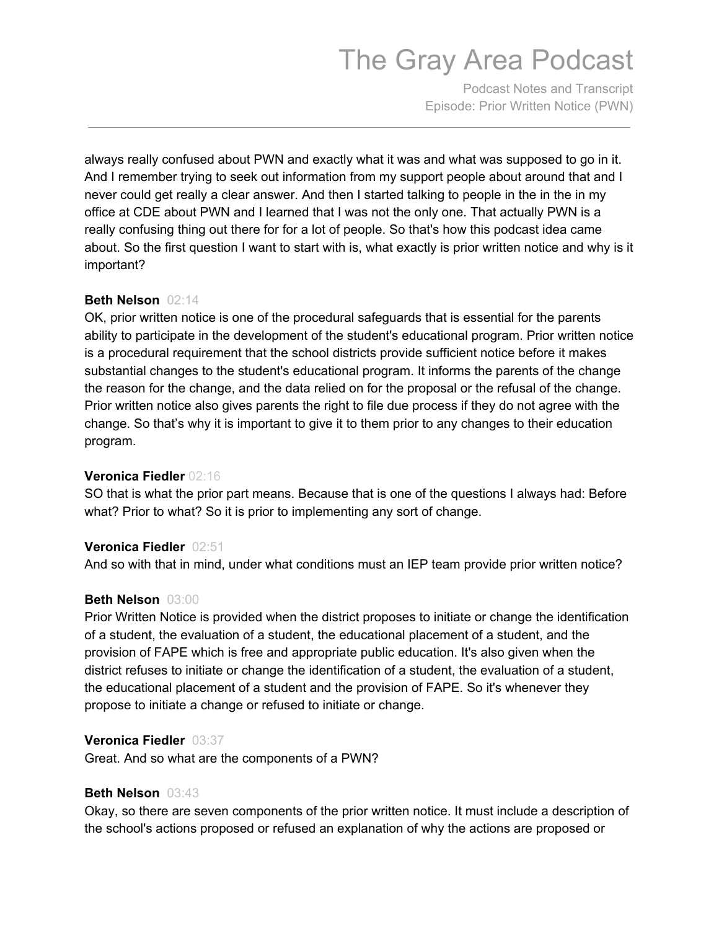Podcast Notes and Transcript Episode: Prior Written Notice (PWN)

 always really confused about PWN and exactly what it was and what was supposed to go in it. And I remember trying to seek out information from my support people about around that and I never could get really a clear answer. And then I started talking to people in the in the in my office at CDE about PWN and I learned that I was not the only one. That actually PWN is a really confusing thing out there for for a lot of people. So that's how this podcast idea came about. So the first question I want to start with is, what exactly is prior written notice and why is it important?

#### **Beth Nelson** 02:14

 OK, prior written notice is one of the procedural safeguards that is essential for the parents ability to participate in the development of the student's educational program. Prior written notice is a procedural requirement that the school districts provide sufficient notice before it makes substantial changes to the student's educational program. It informs the parents of the change the reason for the change, and the data relied on for the proposal or the refusal of the change. Prior written notice also gives parents the right to file due process if they do not agree with the change. So that's why it is important to give it to them prior to any changes to their education program.

#### **Veronica Fiedler** 02:16

 SO that is what the prior part means. Because that is one of the questions I always had: Before what? Prior to what? So it is prior to implementing any sort of change.

#### **Veronica Fiedler** 02:51

And so with that in mind, under what conditions must an IEP team provide prior written notice?

#### **Beth Nelson** 03:00

 Prior Written Notice is provided when the district proposes to initiate or change the identification of a student, the evaluation of a student, the educational placement of a student, and the provision of FAPE which is free and appropriate public education. It's also given when the district refuses to initiate or change the identification of a student, the evaluation of a student, the educational placement of a student and the provision of FAPE. So it's whenever they propose to initiate a change or refused to initiate or change.

#### **Veronica Fiedler** 03:37

Great. And so what are the components of a PWN?

#### **Beth Nelson** 03:43

 Okay, so there are seven components of the prior written notice. It must include a description of the school's actions proposed or refused an explanation of why the actions are proposed or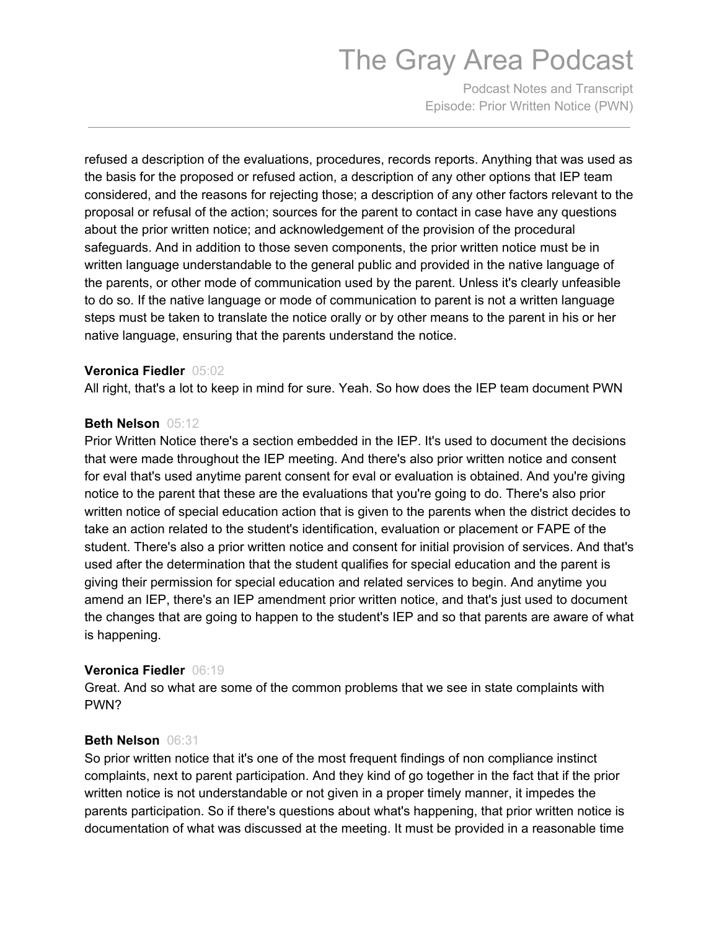Podcast Notes and Transcript Episode: Prior Written Notice (PWN)

 refused a description of the evaluations, procedures, records reports. Anything that was used as the basis for the proposed or refused action, a description of any other options that IEP team considered, and the reasons for rejecting those; a description of any other factors relevant to the proposal or refusal of the action; sources for the parent to contact in case have any questions about the prior written notice; and acknowledgement of the provision of the procedural safeguards. And in addition to those seven components, the prior written notice must be in written language understandable to the general public and provided in the native language of the parents, or other mode of communication used by the parent. Unless it's clearly unfeasible to do so. If the native language or mode of communication to parent is not a written language steps must be taken to translate the notice orally or by other means to the parent in his or her native language, ensuring that the parents understand the notice.

#### **Veronica Fiedler** 05:02

All right, that's a lot to keep in mind for sure. Yeah. So how does the IEP team document PWN

#### **Beth Nelson** 05:12

 Prior Written Notice there's a section embedded in the IEP. It's used to document the decisions that were made throughout the IEP meeting. And there's also prior written notice and consent for eval that's used anytime parent consent for eval or evaluation is obtained. And you're giving notice to the parent that these are the evaluations that you're going to do. There's also prior written notice of special education action that is given to the parents when the district decides to take an action related to the student's identification, evaluation or placement or FAPE of the student. There's also a prior written notice and consent for initial provision of services. And that's used after the determination that the student qualifies for special education and the parent is giving their permission for special education and related services to begin. And anytime you amend an IEP, there's an IEP amendment prior written notice, and that's just used to document the changes that are going to happen to the student's IEP and so that parents are aware of what is happening.

#### **Veronica Fiedler** 06:19

 Great. And so what are some of the common problems that we see in state complaints with PWN?

#### **Beth Nelson** 06:31

 So prior written notice that it's one of the most frequent findings of non compliance instinct complaints, next to parent participation. And they kind of go together in the fact that if the prior written notice is not understandable or not given in a proper timely manner, it impedes the parents participation. So if there's questions about what's happening, that prior written notice is documentation of what was discussed at the meeting. It must be provided in a reasonable time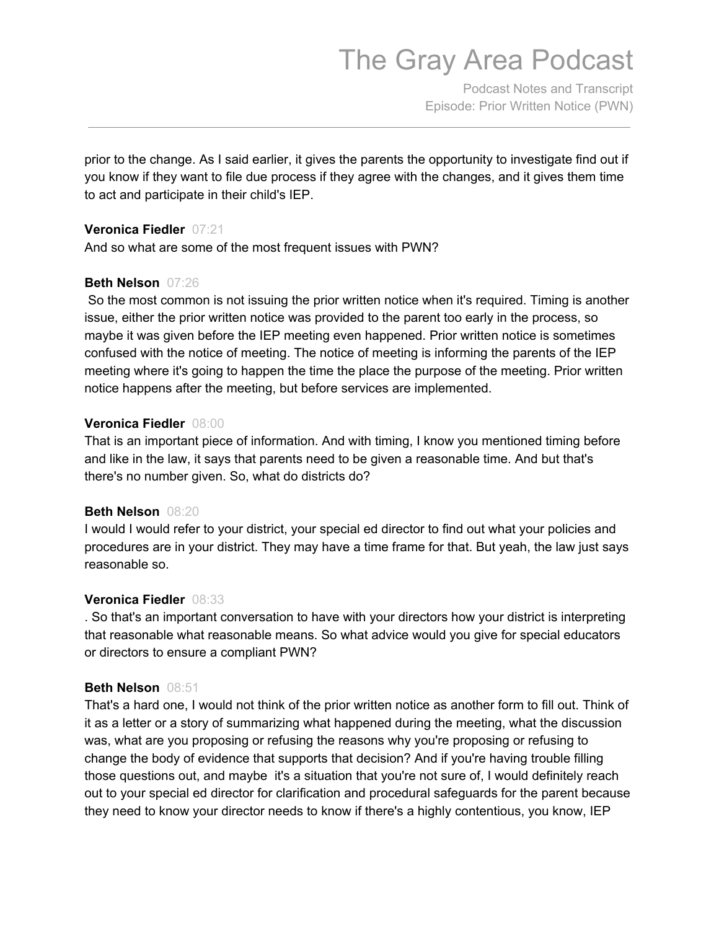Podcast Notes and Transcript Episode: Prior Written Notice (PWN)

 prior to the change. As I said earlier, it gives the parents the opportunity to investigate find out if you know if they want to file due process if they agree with the changes, and it gives them time to act and participate in their child's IEP.

#### **Veronica Fiedler** 07:21

And so what are some of the most frequent issues with PWN?

#### **Beth Nelson** 07:26

 So the most common is not issuing the prior written notice when it's required. Timing is another issue, either the prior written notice was provided to the parent too early in the process, so maybe it was given before the IEP meeting even happened. Prior written notice is sometimes confused with the notice of meeting. The notice of meeting is informing the parents of the IEP meeting where it's going to happen the time the place the purpose of the meeting. Prior written notice happens after the meeting, but before services are implemented.

#### **Veronica Fiedler** 08:00

 That is an important piece of information. And with timing, I know you mentioned timing before and like in the law, it says that parents need to be given a reasonable time. And but that's there's no number given. So, what do districts do?

#### **Beth Nelson** 08:20

 I would I would refer to your district, your special ed director to find out what your policies and procedures are in your district. They may have a time frame for that. But yeah, the law just says reasonable so.

#### **Veronica Fiedler** 08:33

 . So that's an important conversation to have with your directors how your district is interpreting that reasonable what reasonable means. So what advice would you give for special educators or directors to ensure a compliant PWN?

#### **Beth Nelson** 08:51

 That's a hard one, I would not think of the prior written notice as another form to fill out. Think of it as a letter or a story of summarizing what happened during the meeting, what the discussion was, what are you proposing or refusing the reasons why you're proposing or refusing to change the body of evidence that supports that decision? And if you're having trouble filling those questions out, and maybe it's a situation that you're not sure of, I would definitely reach out to your special ed director for clarification and procedural safeguards for the parent because they need to know your director needs to know if there's a highly contentious, you know, IEP